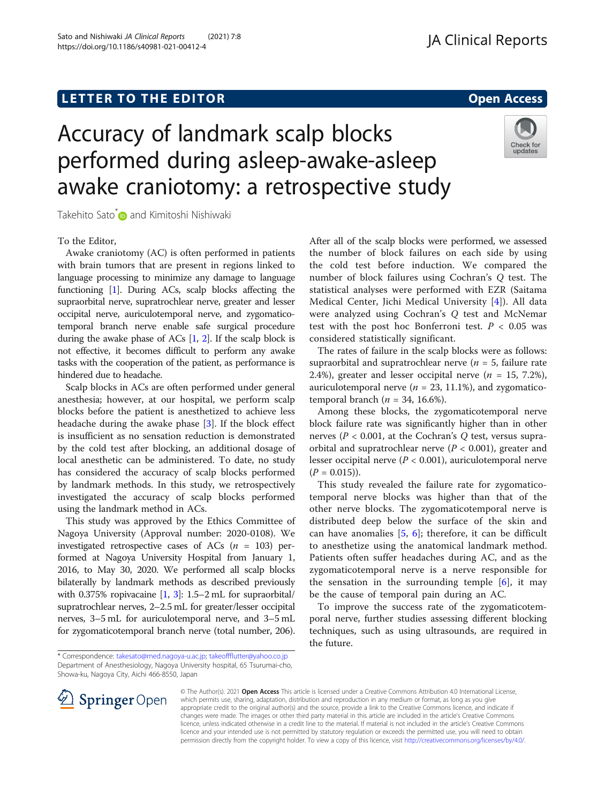# **LETTER TO THE EDITOR CONSTRUCTED ACCESS**



# Accuracy of landmark scalp blocks performed during asleep-awake-asleep awake craniotomy: a retrospective study



Takehito Sato[\\*](http://orcid.org/0000-0001-5025-4250) and Kimitoshi Nishiwaki

To the Editor,

Awake craniotomy (AC) is often performed in patients with brain tumors that are present in regions linked to language processing to minimize any damage to language functioning [\[1\]](#page-1-0). During ACs, scalp blocks affecting the supraorbital nerve, supratrochlear nerve, greater and lesser occipital nerve, auriculotemporal nerve, and zygomaticotemporal branch nerve enable safe surgical procedure during the awake phase of ACs [\[1,](#page-1-0) [2\]](#page-1-0). If the scalp block is not effective, it becomes difficult to perform any awake tasks with the cooperation of the patient, as performance is hindered due to headache.

Scalp blocks in ACs are often performed under general anesthesia; however, at our hospital, we perform scalp blocks before the patient is anesthetized to achieve less headache during the awake phase [\[3](#page-1-0)]. If the block effect is insufficient as no sensation reduction is demonstrated by the cold test after blocking, an additional dosage of local anesthetic can be administered. To date, no study has considered the accuracy of scalp blocks performed by landmark methods. In this study, we retrospectively investigated the accuracy of scalp blocks performed using the landmark method in ACs.

This study was approved by the Ethics Committee of Nagoya University (Approval number: 2020-0108). We investigated retrospective cases of ACs  $(n = 103)$  performed at Nagoya University Hospital from January 1, 2016, to May 30, 2020. We performed all scalp blocks bilaterally by landmark methods as described previously with 0.375% ropivacaine [\[1](#page-1-0), [3](#page-1-0)]: 1.5–2 mL for supraorbital/ supratrochlear nerves, 2–2.5 mL for greater/lesser occipital nerves, 3–5 mL for auriculotemporal nerve, and 3–5 mL for zygomaticotemporal branch nerve (total number, 206).

After all of the scalp blocks were performed, we assessed the number of block failures on each side by using the cold test before induction. We compared the number of block failures using Cochran's Q test. The statistical analyses were performed with EZR (Saitama Medical Center, Jichi Medical University [[4\]](#page-1-0)). All data were analyzed using Cochran's Q test and McNemar test with the post hoc Bonferroni test.  $P < 0.05$  was considered statistically significant.

The rates of failure in the scalp blocks were as follows: supraorbital and supratrochlear nerve ( $n = 5$ , failure rate 2.4%), greater and lesser occipital nerve ( $n = 15, 7.2\%$ ), auriculotemporal nerve ( $n = 23, 11.1\%$ ), and zygomaticotemporal branch ( $n = 34$ , 16.6%).

Among these blocks, the zygomaticotemporal nerve block failure rate was significantly higher than in other nerves ( $P < 0.001$ , at the Cochran's Q test, versus supraorbital and supratrochlear nerve ( $P < 0.001$ ), greater and lesser occipital nerve ( $P < 0.001$ ), auriculotemporal nerve  $(P = 0.015)$ .

This study revealed the failure rate for zygomaticotemporal nerve blocks was higher than that of the other nerve blocks. The zygomaticotemporal nerve is distributed deep below the surface of the skin and can have anomalies  $[5, 6]$  $[5, 6]$  $[5, 6]$  $[5, 6]$  $[5, 6]$ ; therefore, it can be difficult to anesthetize using the anatomical landmark method. Patients often suffer headaches during AC, and as the zygomaticotemporal nerve is a nerve responsible for the sensation in the surrounding temple  $[6]$  $[6]$  $[6]$ , it may be the cause of temporal pain during an AC.

To improve the success rate of the zygomaticotemporal nerve, further studies assessing different blocking techniques, such as using ultrasounds, are required in the future.

<sup>\*</sup> Correspondence: [takesato@med.nagoya-u.ac.jp;](mailto:takesato@med.nagoya-u.ac.jp) [takeoffflutter@yahoo.co.jp](mailto:takeoffflutter@yahoo.co.jp) Department of Anesthesiology, Nagoya University hospital, 65 Tsurumai-cho, Showa-ku, Nagoya City, Aichi 466-8550, Japan



© The Author(s). 2021 Open Access This article is licensed under a Creative Commons Attribution 4.0 International License, which permits use, sharing, adaptation, distribution and reproduction in any medium or format, as long as you give appropriate credit to the original author(s) and the source, provide a link to the Creative Commons licence, and indicate if changes were made. The images or other third party material in this article are included in the article's Creative Commons licence, unless indicated otherwise in a credit line to the material. If material is not included in the article's Creative Commons licence and your intended use is not permitted by statutory regulation or exceeds the permitted use, you will need to obtain permission directly from the copyright holder. To view a copy of this licence, visit <http://creativecommons.org/licenses/by/4.0/>.